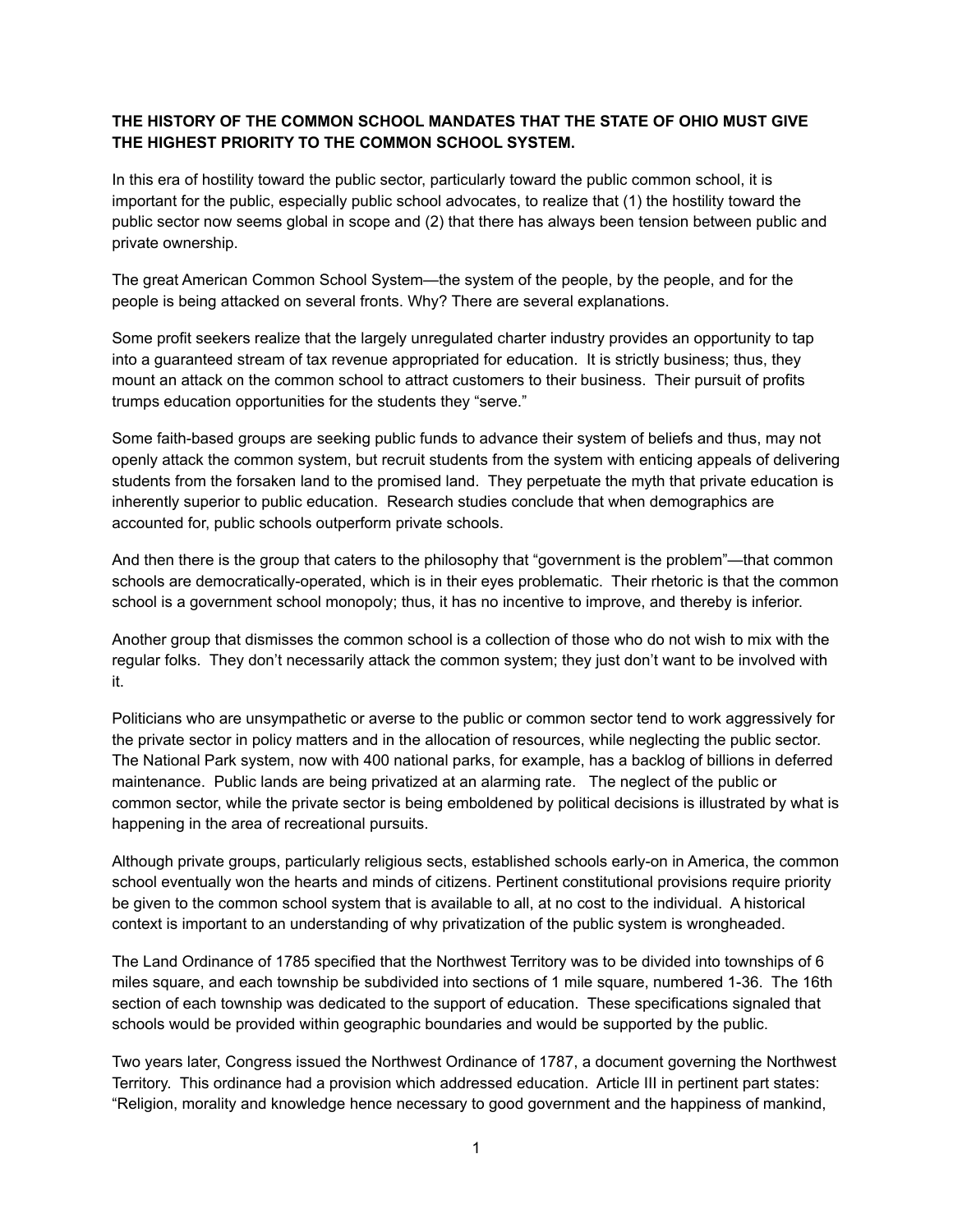## **THE HISTORY OF THE COMMON SCHOOL MANDATES THAT THE STATE OF OHIO MUST GIVE THE HIGHEST PRIORITY TO THE COMMON SCHOOL SYSTEM.**

In this era of hostility toward the public sector, particularly toward the public common school, it is important for the public, especially public school advocates, to realize that (1) the hostility toward the public sector now seems global in scope and (2) that there has always been tension between public and private ownership.

The great American Common School System—the system of the people, by the people, and for the people is being attacked on several fronts. Why? There are several explanations.

Some profit seekers realize that the largely unregulated charter industry provides an opportunity to tap into a guaranteed stream of tax revenue appropriated for education. It is strictly business; thus, they mount an attack on the common school to attract customers to their business. Their pursuit of profits trumps education opportunities for the students they "serve."

Some faith-based groups are seeking public funds to advance their system of beliefs and thus, may not openly attack the common system, but recruit students from the system with enticing appeals of delivering students from the forsaken land to the promised land. They perpetuate the myth that private education is inherently superior to public education. Research studies conclude that when demographics are accounted for, public schools outperform private schools.

And then there is the group that caters to the philosophy that "government is the problem"—that common schools are democratically-operated, which is in their eyes problematic. Their rhetoric is that the common school is a government school monopoly; thus, it has no incentive to improve, and thereby is inferior.

Another group that dismisses the common school is a collection of those who do not wish to mix with the regular folks. They don't necessarily attack the common system; they just don't want to be involved with it.

Politicians who are unsympathetic or averse to the public or common sector tend to work aggressively for the private sector in policy matters and in the allocation of resources, while neglecting the public sector. The National Park system, now with 400 national parks, for example, has a backlog of billions in deferred maintenance. Public lands are being privatized at an alarming rate. The neglect of the public or common sector, while the private sector is being emboldened by political decisions is illustrated by what is happening in the area of recreational pursuits.

Although private groups, particularly religious sects, established schools early-on in America, the common school eventually won the hearts and minds of citizens. Pertinent constitutional provisions require priority be given to the common school system that is available to all, at no cost to the individual. A historical context is important to an understanding of why privatization of the public system is wrongheaded.

The Land Ordinance of 1785 specified that the Northwest Territory was to be divided into townships of 6 miles square, and each township be subdivided into sections of 1 mile square, numbered 1-36. The 16th section of each township was dedicated to the support of education. These specifications signaled that schools would be provided within geographic boundaries and would be supported by the public.

Two years later, Congress issued the Northwest Ordinance of 1787, a document governing the Northwest Territory. This ordinance had a provision which addressed education. Article III in pertinent part states: "Religion, morality and knowledge hence necessary to good government and the happiness of mankind,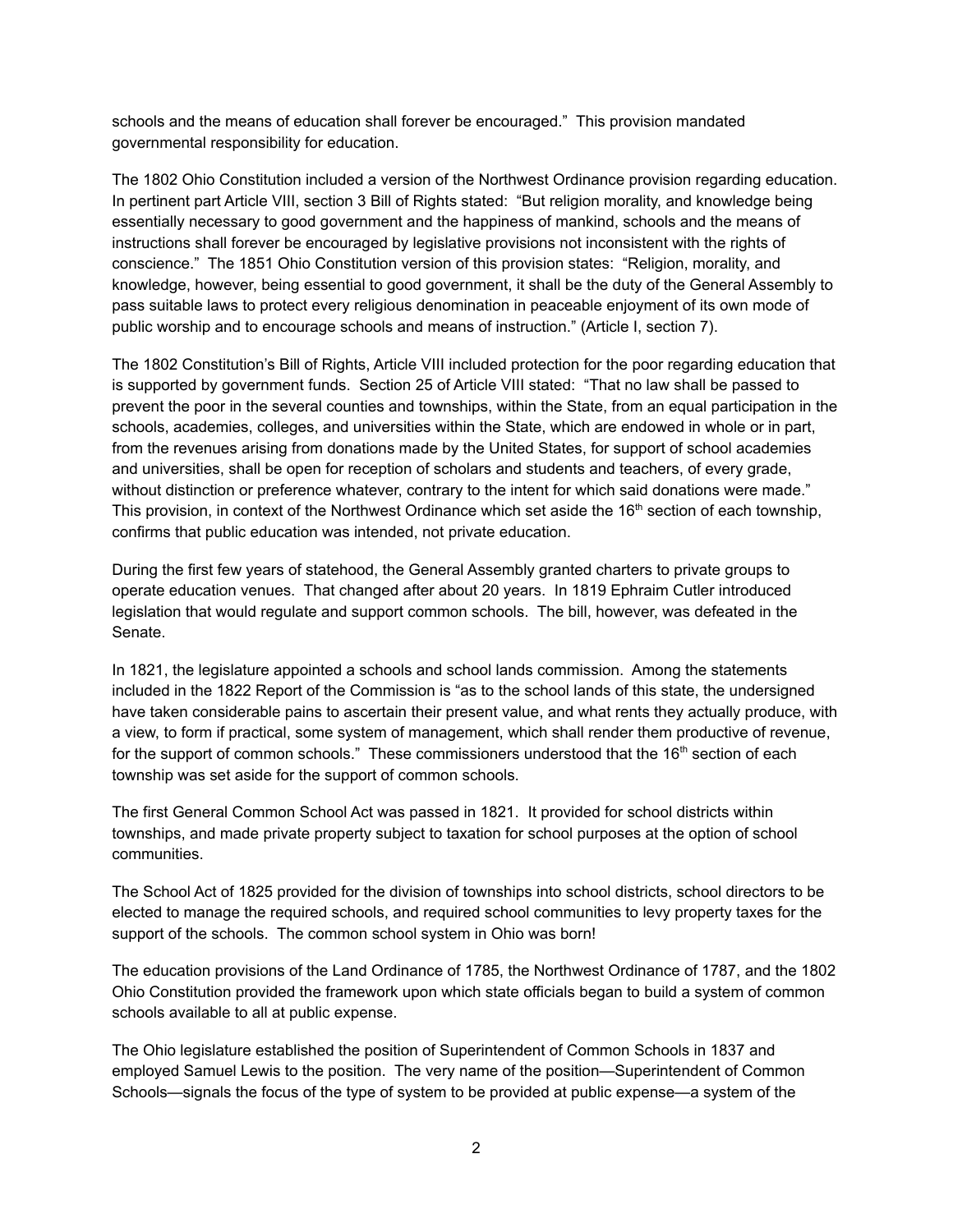schools and the means of education shall forever be encouraged." This provision mandated governmental responsibility for education.

The 1802 Ohio Constitution included a version of the Northwest Ordinance provision regarding education. In pertinent part Article VIII, section 3 Bill of Rights stated: "But religion morality, and knowledge being essentially necessary to good government and the happiness of mankind, schools and the means of instructions shall forever be encouraged by legislative provisions not inconsistent with the rights of conscience." The 1851 Ohio Constitution version of this provision states: "Religion, morality, and knowledge, however, being essential to good government, it shall be the duty of the General Assembly to pass suitable laws to protect every religious denomination in peaceable enjoyment of its own mode of public worship and to encourage schools and means of instruction." (Article I, section 7).

The 1802 Constitution's Bill of Rights, Article VIII included protection for the poor regarding education that is supported by government funds. Section 25 of Article VIII stated: "That no law shall be passed to prevent the poor in the several counties and townships, within the State, from an equal participation in the schools, academies, colleges, and universities within the State, which are endowed in whole or in part, from the revenues arising from donations made by the United States, for support of school academies and universities, shall be open for reception of scholars and students and teachers, of every grade, without distinction or preference whatever, contrary to the intent for which said donations were made." This provision, in context of the Northwest Ordinance which set aside the 16<sup>th</sup> section of each township, confirms that public education was intended, not private education.

During the first few years of statehood, the General Assembly granted charters to private groups to operate education venues. That changed after about 20 years. In 1819 Ephraim Cutler introduced legislation that would regulate and support common schools. The bill, however, was defeated in the Senate.

In 1821, the legislature appointed a schools and school lands commission. Among the statements included in the 1822 Report of the Commission is "as to the school lands of this state, the undersigned have taken considerable pains to ascertain their present value, and what rents they actually produce, with a view, to form if practical, some system of management, which shall render them productive of revenue, for the support of common schools." These commissioners understood that the 16<sup>th</sup> section of each township was set aside for the support of common schools.

The first General Common School Act was passed in 1821. It provided for school districts within townships, and made private property subject to taxation for school purposes at the option of school communities.

The School Act of 1825 provided for the division of townships into school districts, school directors to be elected to manage the required schools, and required school communities to levy property taxes for the support of the schools. The common school system in Ohio was born!

The education provisions of the Land Ordinance of 1785, the Northwest Ordinance of 1787, and the 1802 Ohio Constitution provided the framework upon which state officials began to build a system of common schools available to all at public expense.

The Ohio legislature established the position of Superintendent of Common Schools in 1837 and employed Samuel Lewis to the position. The very name of the position—Superintendent of Common Schools—signals the focus of the type of system to be provided at public expense—a system of the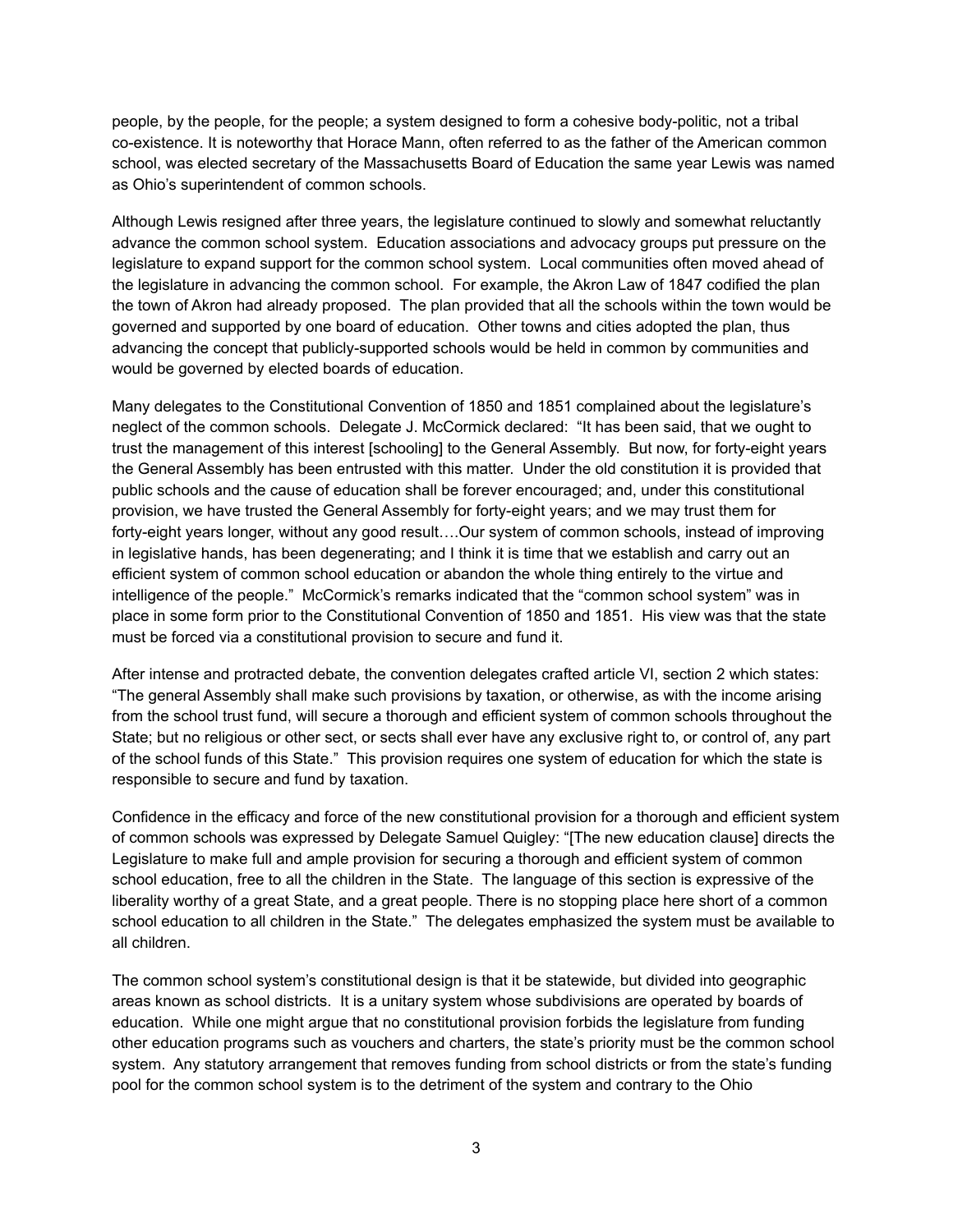people, by the people, for the people; a system designed to form a cohesive body-politic, not a tribal co-existence. It is noteworthy that Horace Mann, often referred to as the father of the American common school, was elected secretary of the Massachusetts Board of Education the same year Lewis was named as Ohio's superintendent of common schools.

Although Lewis resigned after three years, the legislature continued to slowly and somewhat reluctantly advance the common school system. Education associations and advocacy groups put pressure on the legislature to expand support for the common school system. Local communities often moved ahead of the legislature in advancing the common school. For example, the Akron Law of 1847 codified the plan the town of Akron had already proposed. The plan provided that all the schools within the town would be governed and supported by one board of education. Other towns and cities adopted the plan, thus advancing the concept that publicly-supported schools would be held in common by communities and would be governed by elected boards of education.

Many delegates to the Constitutional Convention of 1850 and 1851 complained about the legislature's neglect of the common schools. Delegate J. McCormick declared: "It has been said, that we ought to trust the management of this interest [schooling] to the General Assembly. But now, for forty-eight years the General Assembly has been entrusted with this matter. Under the old constitution it is provided that public schools and the cause of education shall be forever encouraged; and, under this constitutional provision, we have trusted the General Assembly for forty-eight years; and we may trust them for forty-eight years longer, without any good result….Our system of common schools, instead of improving in legislative hands, has been degenerating; and I think it is time that we establish and carry out an efficient system of common school education or abandon the whole thing entirely to the virtue and intelligence of the people." McCormick's remarks indicated that the "common school system" was in place in some form prior to the Constitutional Convention of 1850 and 1851. His view was that the state must be forced via a constitutional provision to secure and fund it.

After intense and protracted debate, the convention delegates crafted article VI, section 2 which states: "The general Assembly shall make such provisions by taxation, or otherwise, as with the income arising from the school trust fund, will secure a thorough and efficient system of common schools throughout the State; but no religious or other sect, or sects shall ever have any exclusive right to, or control of, any part of the school funds of this State." This provision requires one system of education for which the state is responsible to secure and fund by taxation.

Confidence in the efficacy and force of the new constitutional provision for a thorough and efficient system of common schools was expressed by Delegate Samuel Quigley: "[The new education clause] directs the Legislature to make full and ample provision for securing a thorough and efficient system of common school education, free to all the children in the State. The language of this section is expressive of the liberality worthy of a great State, and a great people. There is no stopping place here short of a common school education to all children in the State." The delegates emphasized the system must be available to all children.

The common school system's constitutional design is that it be statewide, but divided into geographic areas known as school districts. It is a unitary system whose subdivisions are operated by boards of education. While one might argue that no constitutional provision forbids the legislature from funding other education programs such as vouchers and charters, the state's priority must be the common school system. Any statutory arrangement that removes funding from school districts or from the state's funding pool for the common school system is to the detriment of the system and contrary to the Ohio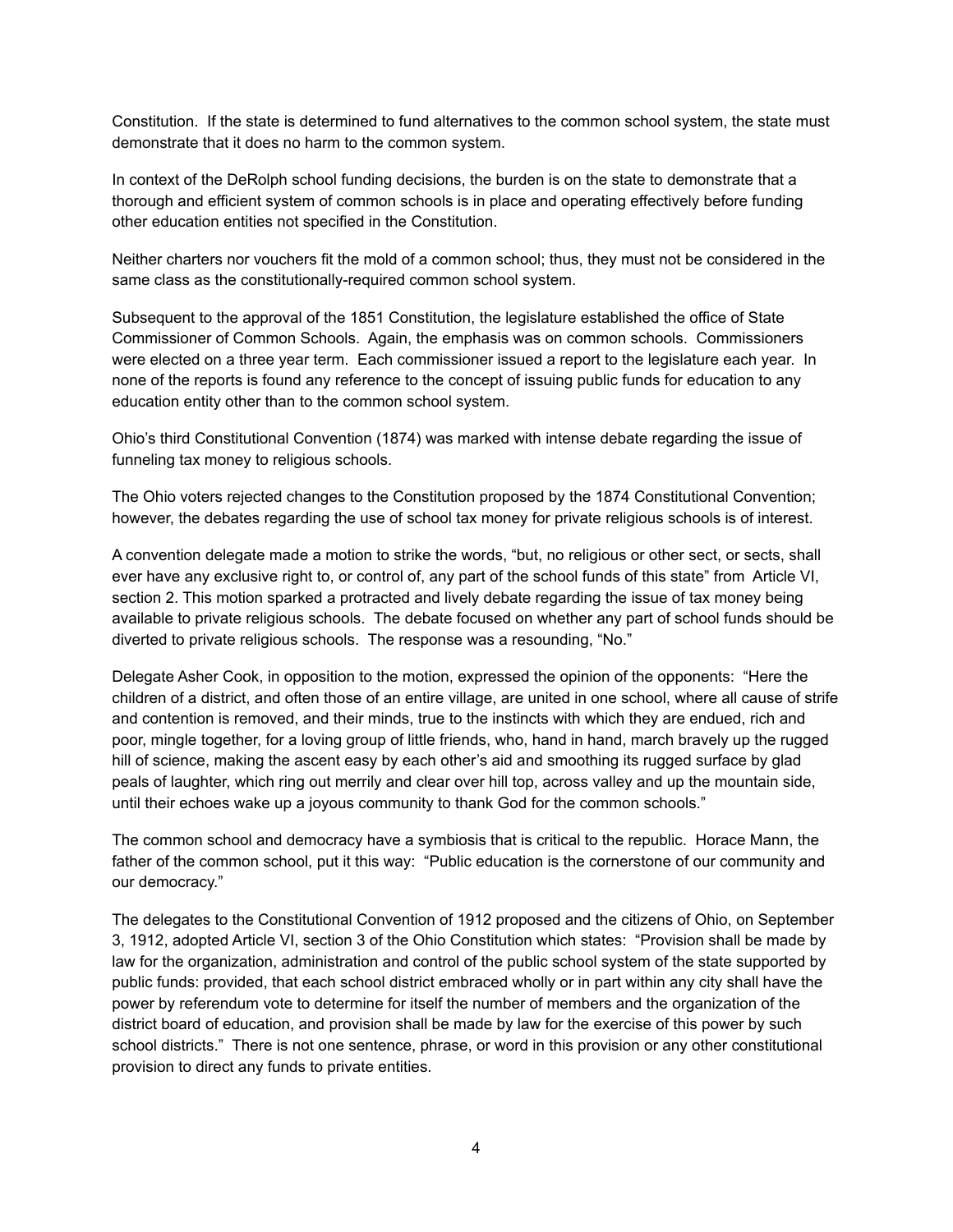Constitution. If the state is determined to fund alternatives to the common school system, the state must demonstrate that it does no harm to the common system.

In context of the DeRolph school funding decisions, the burden is on the state to demonstrate that a thorough and efficient system of common schools is in place and operating effectively before funding other education entities not specified in the Constitution.

Neither charters nor vouchers fit the mold of a common school; thus, they must not be considered in the same class as the constitutionally-required common school system.

Subsequent to the approval of the 1851 Constitution, the legislature established the office of State Commissioner of Common Schools. Again, the emphasis was on common schools. Commissioners were elected on a three year term. Each commissioner issued a report to the legislature each year. In none of the reports is found any reference to the concept of issuing public funds for education to any education entity other than to the common school system.

Ohio's third Constitutional Convention (1874) was marked with intense debate regarding the issue of funneling tax money to religious schools.

The Ohio voters rejected changes to the Constitution proposed by the 1874 Constitutional Convention; however, the debates regarding the use of school tax money for private religious schools is of interest.

A convention delegate made a motion to strike the words, "but, no religious or other sect, or sects, shall ever have any exclusive right to, or control of, any part of the school funds of this state" from Article VI, section 2. This motion sparked a protracted and lively debate regarding the issue of tax money being available to private religious schools. The debate focused on whether any part of school funds should be diverted to private religious schools. The response was a resounding, "No."

Delegate Asher Cook, in opposition to the motion, expressed the opinion of the opponents: "Here the children of a district, and often those of an entire village, are united in one school, where all cause of strife and contention is removed, and their minds, true to the instincts with which they are endued, rich and poor, mingle together, for a loving group of little friends, who, hand in hand, march bravely up the rugged hill of science, making the ascent easy by each other's aid and smoothing its rugged surface by glad peals of laughter, which ring out merrily and clear over hill top, across valley and up the mountain side, until their echoes wake up a joyous community to thank God for the common schools."

The common school and democracy have a symbiosis that is critical to the republic. Horace Mann, the father of the common school, put it this way: "Public education is the cornerstone of our community and our democracy."

The delegates to the Constitutional Convention of 1912 proposed and the citizens of Ohio, on September 3, 1912, adopted Article VI, section 3 of the Ohio Constitution which states: "Provision shall be made by law for the organization, administration and control of the public school system of the state supported by public funds: provided, that each school district embraced wholly or in part within any city shall have the power by referendum vote to determine for itself the number of members and the organization of the district board of education, and provision shall be made by law for the exercise of this power by such school districts." There is not one sentence, phrase, or word in this provision or any other constitutional provision to direct any funds to private entities.